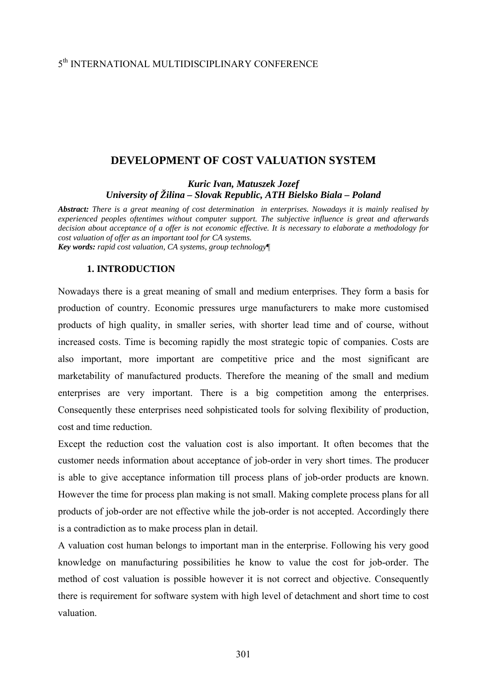## 5th INTERNATIONAL MULTIDISCIPLINARY CONFERENCE

# **DEVELOPMENT OF COST VALUATION SYSTEM**

*Kuric Ivan, Matuszek Jozef University of Žilina – Slovak Republic, ATH Bielsko Biala – Poland* 

*Abstract: There is a great meaning of cost determination in enterprises. Nowadays it is mainly realised by experienced peoples oftentimes without computer support. The subjective influence is great and afterwards decision about acceptance of a offer is not economic effective. It is necessary to elaborate a methodology for cost valuation of offer as an important tool for CA systems. Key words: rapid cost valuation, CA systems, group technology*¶

### **1. INTRODUCTION**

Nowadays there is a great meaning of small and medium enterprises. They form a basis for production of country. Economic pressures urge manufacturers to make more customised products of high quality, in smaller series, with shorter lead time and of course, without increased costs. Time is becoming rapidly the most strategic topic of companies. Costs are also important, more important are competitive price and the most significant are marketability of manufactured products. Therefore the meaning of the small and medium enterprises are very important. There is a big competition among the enterprises. Consequently these enterprises need sohpisticated tools for solving flexibility of production, cost and time reduction.

Except the reduction cost the valuation cost is also important. It often becomes that the customer needs information about acceptance of job-order in very short times. The producer is able to give acceptance information till process plans of job-order products are known. However the time for process plan making is not small. Making complete process plans for all products of job-order are not effective while the job-order is not accepted. Accordingly there is a contradiction as to make process plan in detail.

A valuation cost human belongs to important man in the enterprise. Following his very good knowledge on manufacturing possibilities he know to value the cost for job-order. The method of cost valuation is possible however it is not correct and objective. Consequently there is requirement for software system with high level of detachment and short time to cost valuation.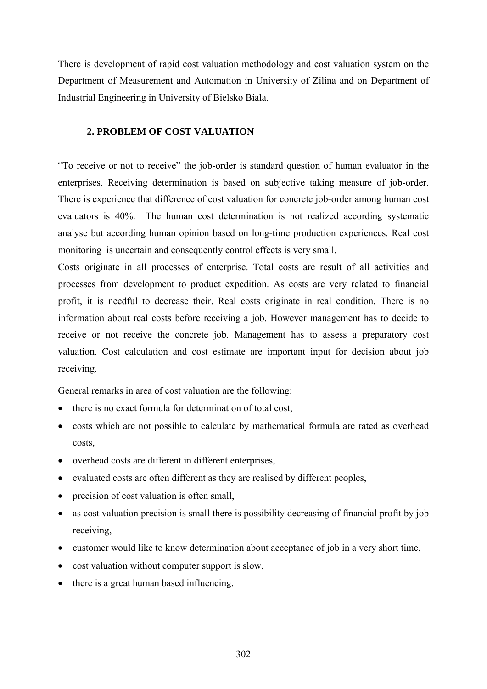There is development of rapid cost valuation methodology and cost valuation system on the Department of Measurement and Automation in University of Zilina and on Department of Industrial Engineering in University of Bielsko Biala.

## **2. PROBLEM OF COST VALUATION**

"To receive or not to receive" the job-order is standard question of human evaluator in the enterprises. Receiving determination is based on subjective taking measure of job-order. There is experience that difference of cost valuation for concrete job-order among human cost evaluators is 40%. The human cost determination is not realized according systematic analyse but according human opinion based on long-time production experiences. Real cost monitoring is uncertain and consequently control effects is very small.

Costs originate in all processes of enterprise. Total costs are result of all activities and processes from development to product expedition. As costs are very related to financial profit, it is needful to decrease their. Real costs originate in real condition. There is no information about real costs before receiving a job. However management has to decide to receive or not receive the concrete job. Management has to assess a preparatory cost valuation. Cost calculation and cost estimate are important input for decision about job receiving.

General remarks in area of cost valuation are the following:

- there is no exact formula for determination of total cost,
- costs which are not possible to calculate by mathematical formula are rated as overhead costs,
- overhead costs are different in different enterprises,
- evaluated costs are often different as they are realised by different peoples,
- precision of cost valuation is often small,
- as cost valuation precision is small there is possibility decreasing of financial profit by job receiving,
- customer would like to know determination about acceptance of job in a very short time,
- cost valuation without computer support is slow,
- there is a great human based influencing.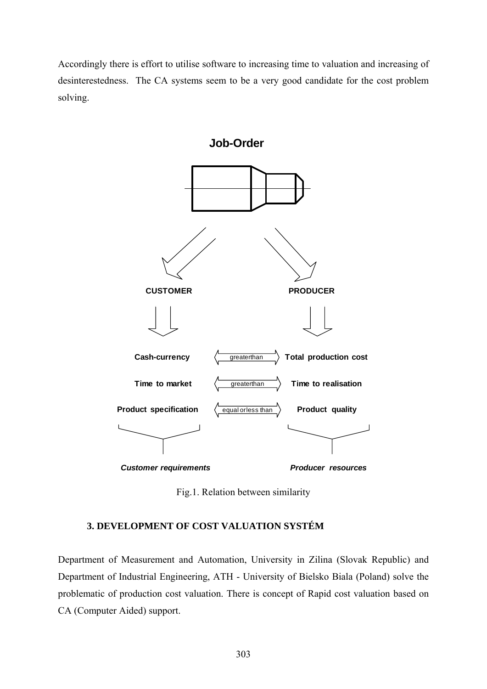Accordingly there is effort to utilise software to increasing time to valuation and increasing of desinterestedness. The CA systems seem to be a very good candidate for the cost problem solving.



Fig.1. Relation between similarity

# **3. DEVELOPMENT OF COST VALUATION SYSTÉM**

Department of Measurement and Automation, University in Zilina (Slovak Republic) and Department of Industrial Engineering, ATH - University of Bielsko Biala (Poland) solve the problematic of production cost valuation. There is concept of Rapid cost valuation based on CA (Computer Aided) support.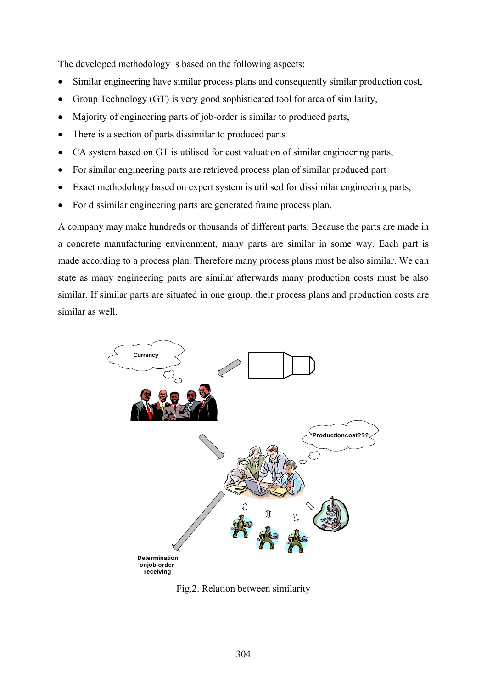The developed methodology is based on the following aspects:

- Similar engineering have similar process plans and consequently similar production cost,
- Group Technology (GT) is very good sophisticated tool for area of similarity,
- Majority of engineering parts of job-order is similar to produced parts,
- There is a section of parts dissimilar to produced parts
- CA system based on GT is utilised for cost valuation of similar engineering parts,
- For similar engineering parts are retrieved process plan of similar produced part
- Exact methodology based on expert system is utilised for dissimilar engineering parts,
- For dissimilar engineering parts are generated frame process plan.

A company may make hundreds or thousands of different parts. Because the parts are made in a concrete manufacturing environment, many parts are similar in some way. Each part is made according to a process plan. Therefore many process plans must be also similar. We can state as many engineering parts are similar afterwards many production costs must be also similar. If similar parts are situated in one group, their process plans and production costs are similar as well.



Fig.2. Relation between similarity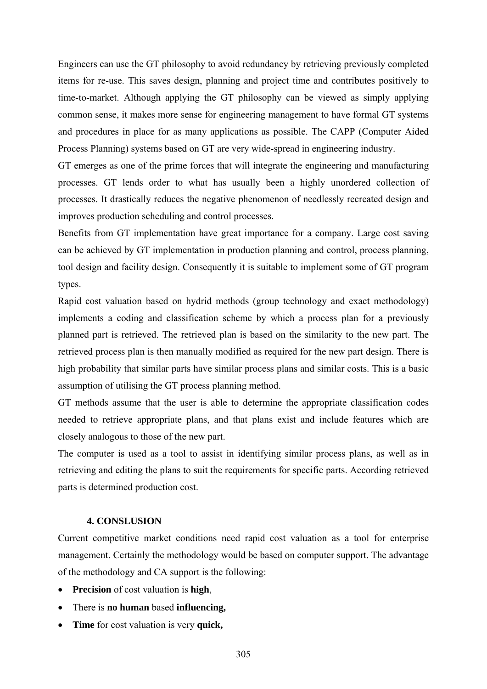Engineers can use the GT philosophy to avoid redundancy by retrieving previously completed items for re-use. This saves design, planning and project time and contributes positively to time-to-market. Although applying the GT philosophy can be viewed as simply applying common sense, it makes more sense for engineering management to have formal GT systems and procedures in place for as many applications as possible. The CAPP (Computer Aided Process Planning) systems based on GT are very wide-spread in engineering industry.

GT emerges as one of the prime forces that will integrate the engineering and manufacturing processes. GT lends order to what has usually been a highly unordered collection of processes. It drastically reduces the negative phenomenon of needlessly recreated design and improves production scheduling and control processes.

Benefits from GT implementation have great importance for a company. Large cost saving can be achieved by GT implementation in production planning and control, process planning, tool design and facility design. Consequently it is suitable to implement some of GT program types.

Rapid cost valuation based on hydrid methods (group technology and exact methodology) implements a coding and classification scheme by which a process plan for a previously planned part is retrieved. The retrieved plan is based on the similarity to the new part. The retrieved process plan is then manually modified as required for the new part design. There is high probability that similar parts have similar process plans and similar costs. This is a basic assumption of utilising the GT process planning method.

GT methods assume that the user is able to determine the appropriate classification codes needed to retrieve appropriate plans, and that plans exist and include features which are closely analogous to those of the new part.

The computer is used as a tool to assist in identifying similar process plans, as well as in retrieving and editing the plans to suit the requirements for specific parts. According retrieved parts is determined production cost.

#### **4. CONSLUSION**

Current competitive market conditions need rapid cost valuation as a tool for enterprise management. Certainly the methodology would be based on computer support. The advantage of the methodology and CA support is the following:

- **Precision** of cost valuation is **high**,
- There is **no human** based **influencing,**
- **Time** for cost valuation is very **quick,**